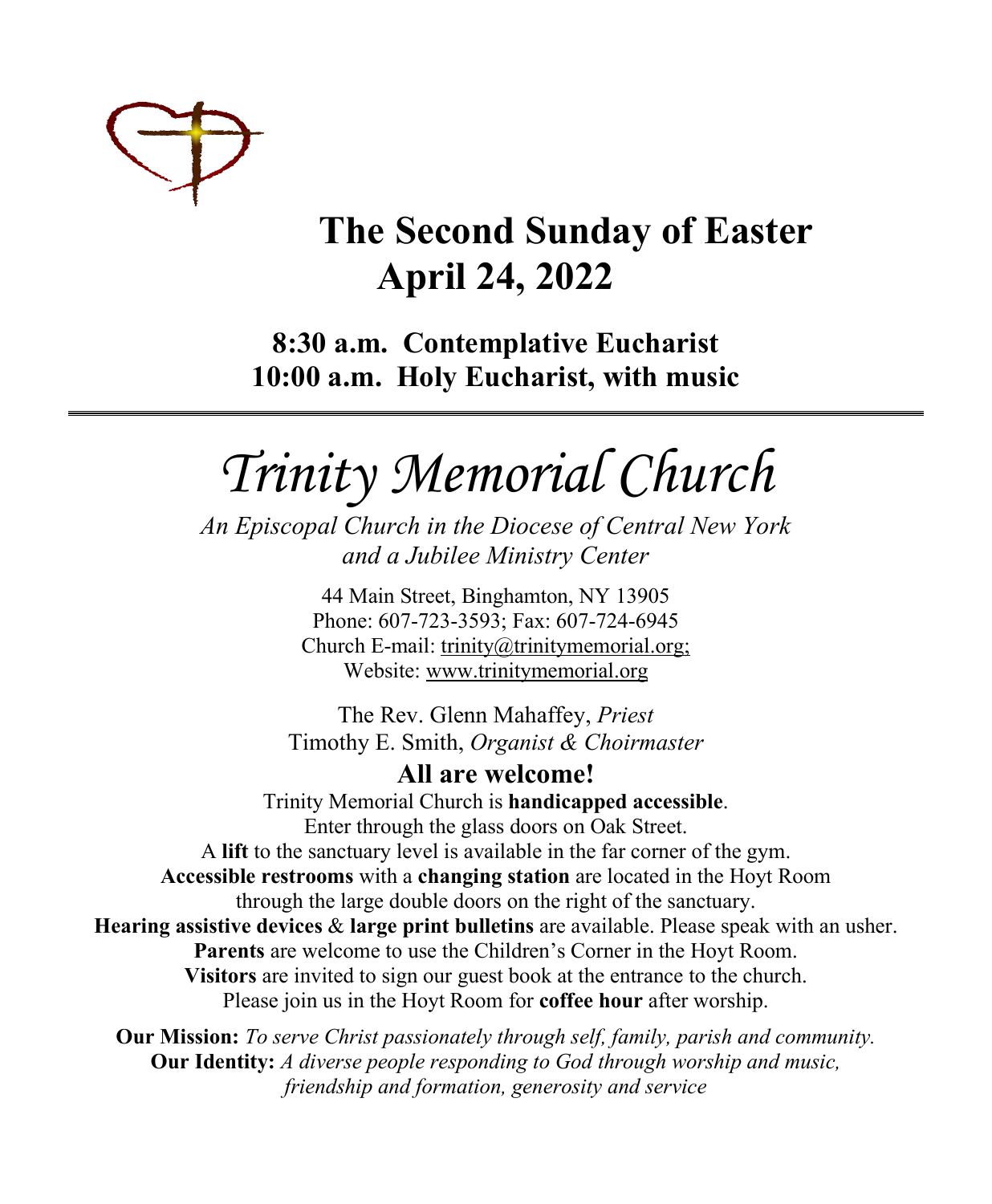

# **The Second Sunday of Easter April 24, 2022**

**8:30 a.m. Contemplative Eucharist 10:00 a.m. Holy Eucharist, with music**

*Trinity Memorial Church*

*An Episcopal Church in the Diocese of Central New York and a Jubilee Ministry Center* 

> 44 Main Street, Binghamton, NY 13905 Phone: 607-723-3593; Fax: 607-724-6945 Church E-mail: trinity@trinitymemorial.org; Website: www.trinitymemorial.org

The Rev. Glenn Mahaffey, *Priest* Timothy E. Smith, *Organist & Choirmaster* 

**All are welcome!** Trinity Memorial Church is **handicapped accessible**. Enter through the glass doors on Oak Street. A **lift** to the sanctuary level is available in the far corner of the gym. **Accessible restrooms** with a **changing station** are located in the Hoyt Room through the large double doors on the right of the sanctuary. **Hearing assistive devices** & **large print bulletins** are available. Please speak with an usher. **Parents** are welcome to use the Children's Corner in the Hoyt Room. **Visitors** are invited to sign our guest book at the entrance to the church. Please join us in the Hoyt Room for **coffee hour** after worship.

**Our Mission:** *To serve Christ passionately through self, family, parish and community.*  **Our Identity:** *A diverse people responding to God through worship and music, friendship and formation, generosity and service*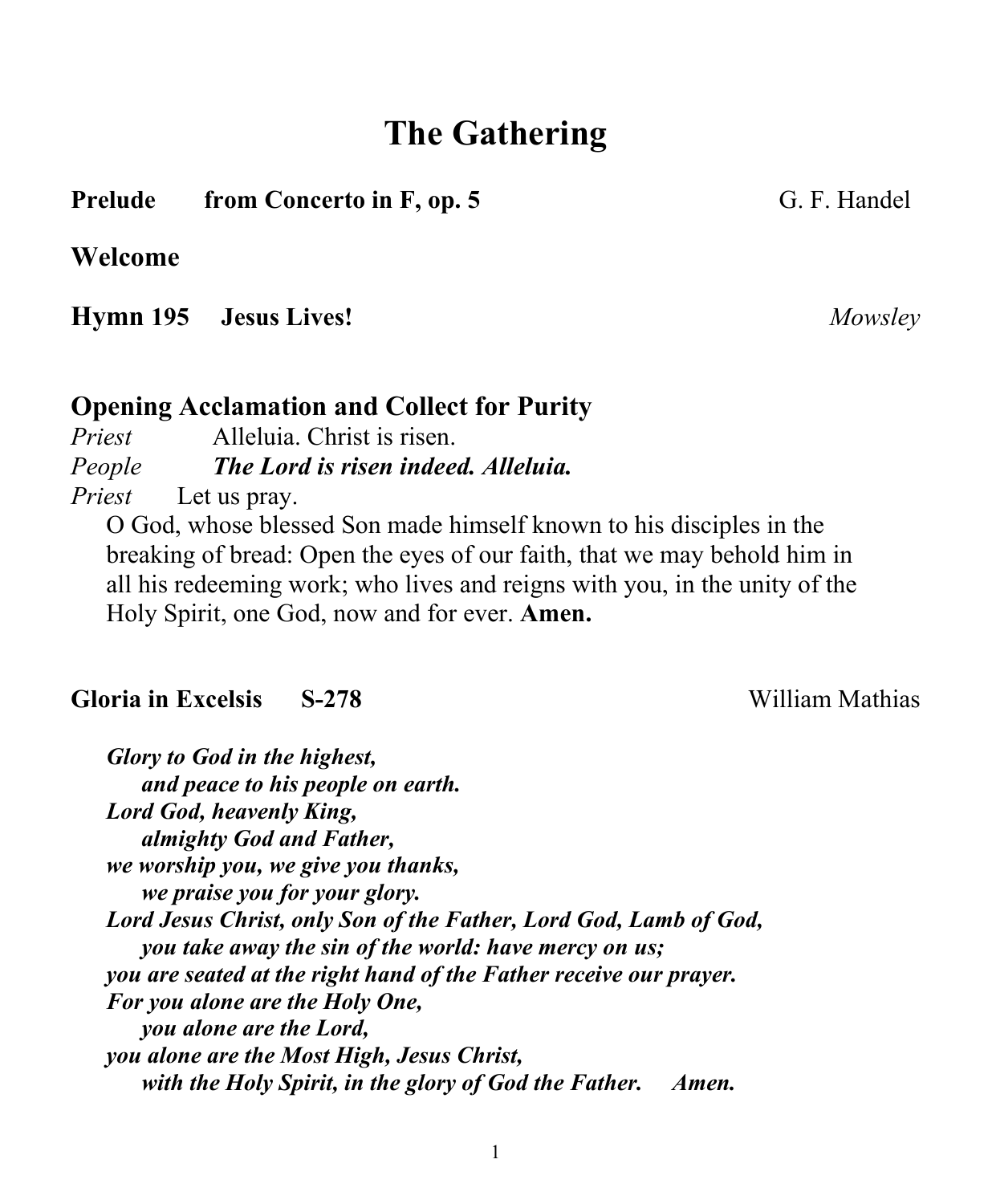# **The Gathering**

#### **Prelude from Concerto in F, op. 5** G. F. Handel

#### **Welcome**

**Hymn 195 Jesus Lives!** *Mowsley*

#### **Opening Acclamation and Collect for Purity**

*Priest* Alleluia. Christ is risen. *People The Lord is risen indeed. Alleluia. Priest* Let us pray.

O God, whose blessed Son made himself known to his disciples in the breaking of bread: Open the eyes of our faith, that we may behold him in all his redeeming work; who lives and reigns with you, in the unity of the Holy Spirit, one God, now and for ever. **Amen.**

#### **Gloria in Excelsis S-278** William Mathias

*Glory to God in the highest, and peace to his people on earth. Lord God, heavenly King, almighty God and Father, we worship you, we give you thanks, we praise you for your glory. Lord Jesus Christ, only Son of the Father, Lord God, Lamb of God, you take away the sin of the world: have mercy on us; you are seated at the right hand of the Father receive our prayer. For you alone are the Holy One, you alone are the Lord, you alone are the Most High, Jesus Christ, with the Holy Spirit, in the glory of God the Father. Amen.*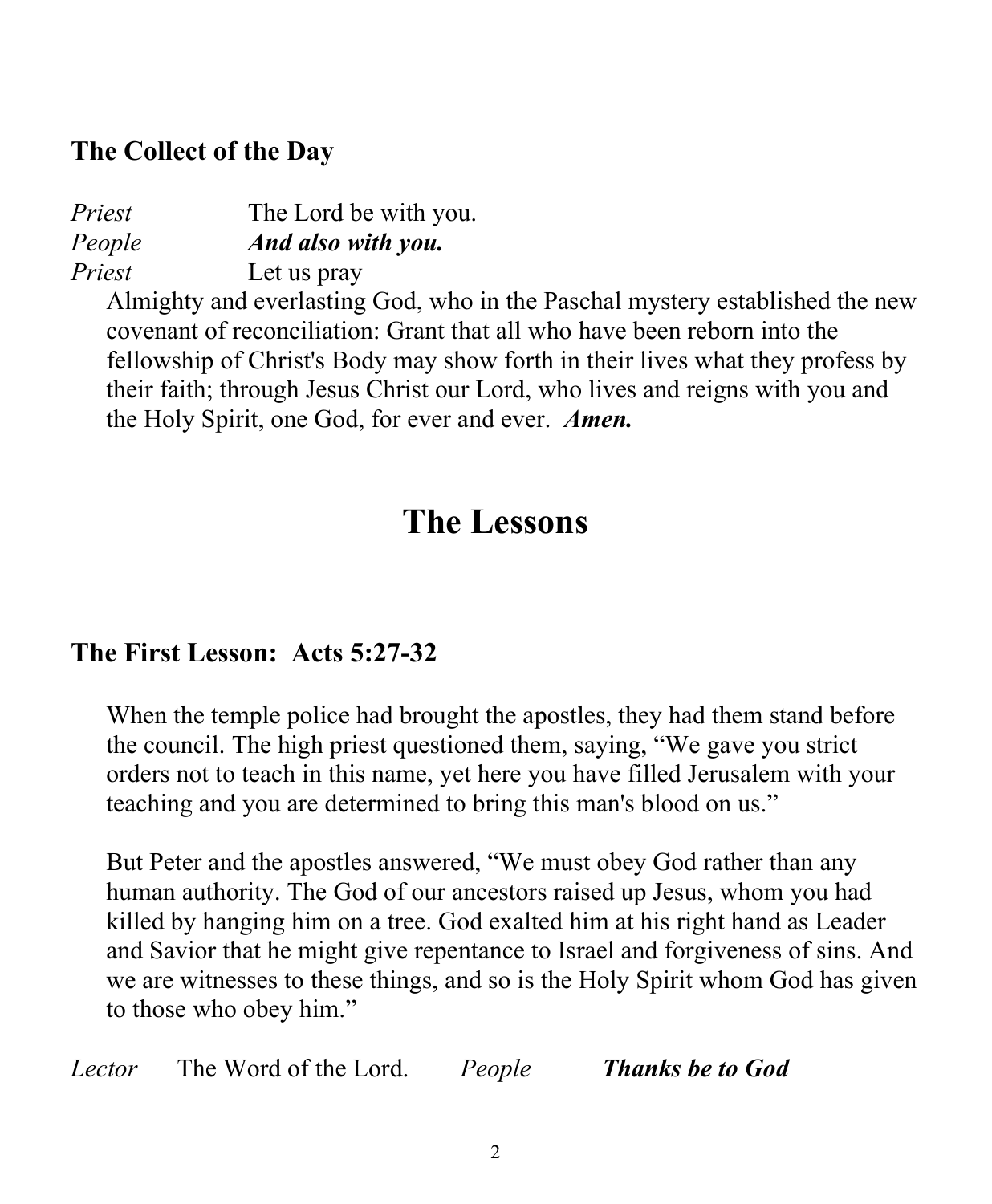## **The Collect of the Day**

| Priest | The Lord be with you. |
|--------|-----------------------|
| People | And also with you.    |
| Priest | Let us pray           |

Almighty and everlasting God, who in the Paschal mystery established the new covenant of reconciliation: Grant that all who have been reborn into the fellowship of Christ's Body may show forth in their lives what they profess by their faith; through Jesus Christ our Lord, who lives and reigns with you and the Holy Spirit, one God, for ever and ever. *Amen.*

# **The Lessons**

# **The First Lesson: Acts 5:27-32**

When the temple police had brought the apostles, they had them stand before the council. The high priest questioned them, saying, "We gave you strict orders not to teach in this name, yet here you have filled Jerusalem with your teaching and you are determined to bring this man's blood on us."

But Peter and the apostles answered, "We must obey God rather than any human authority. The God of our ancestors raised up Jesus, whom you had killed by hanging him on a tree. God exalted him at his right hand as Leader and Savior that he might give repentance to Israel and forgiveness of sins. And we are witnesses to these things, and so is the Holy Spirit whom God has given to those who obey him."

*Lector* The Word of the Lord. *People Thanks be to God*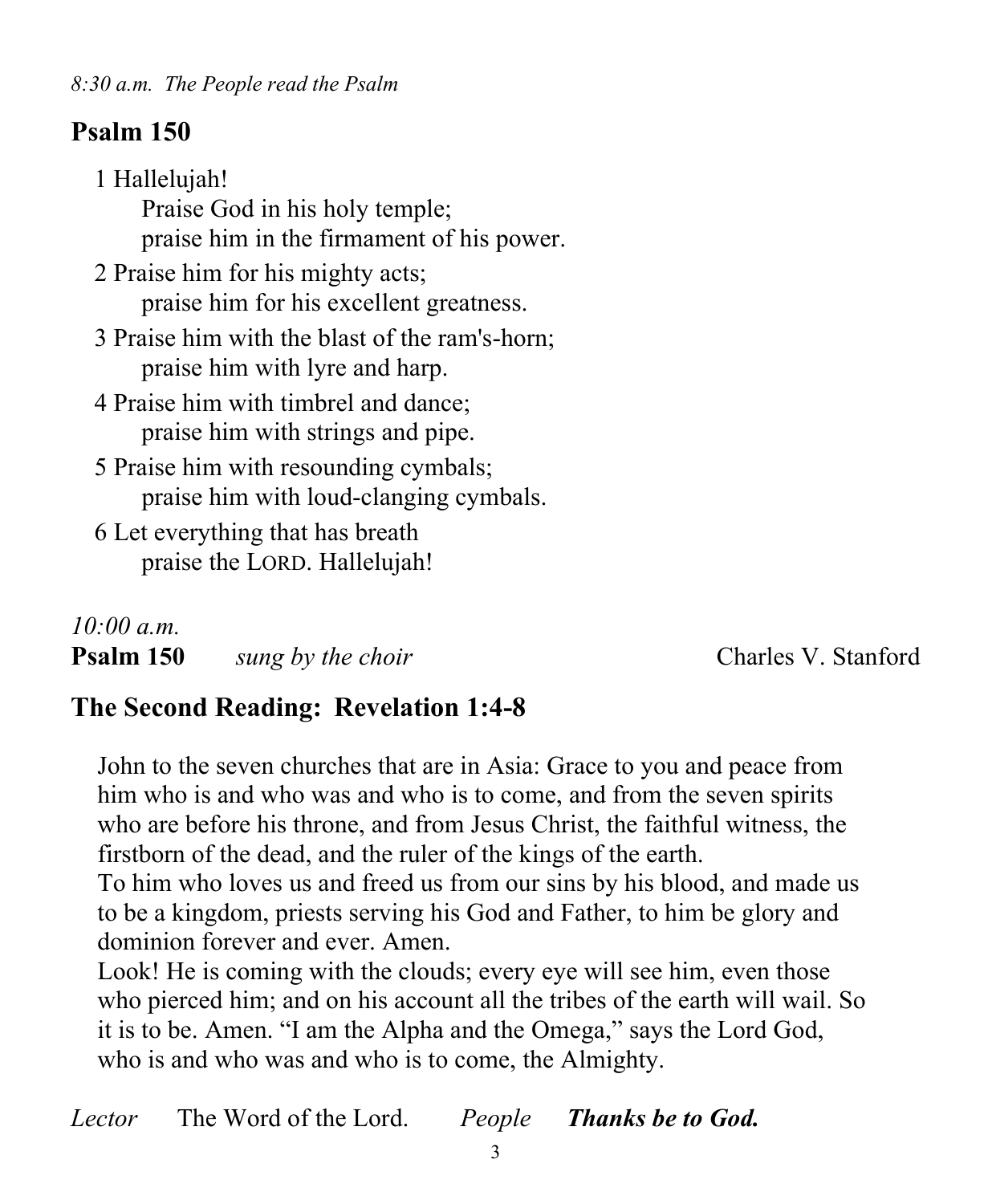# **Psalm 150**

1 Hallelujah! Praise God in his holy temple; praise him in the firmament of his power. 2 Praise him for his mighty acts; praise him for his excellent greatness. 3 Praise him with the blast of the ram's-horn; praise him with lyre and harp. 4 Praise him with timbrel and dance; praise him with strings and pipe. 5 Praise him with resounding cymbals; praise him with loud-clanging cymbals. 6 Let everything that has breath praise the LORD. Hallelujah!

### *10:00 a.m.*

| Psalm 150 |  |  | sung by the choir |  |
|-----------|--|--|-------------------|--|
|           |  |  |                   |  |

**Charles V. Stanford** 

# **The Second Reading: Revelation 1:4-8**

John to the seven churches that are in Asia: Grace to you and peace from him who is and who was and who is to come, and from the seven spirits who are before his throne, and from Jesus Christ, the faithful witness, the firstborn of the dead, and the ruler of the kings of the earth.

To him who loves us and freed us from our sins by his blood, and made us to be a kingdom, priests serving his God and Father, to him be glory and dominion forever and ever. Amen.

Look! He is coming with the clouds; every eye will see him, even those who pierced him; and on his account all the tribes of the earth will wail. So it is to be. Amen. "I am the Alpha and the Omega," says the Lord God, who is and who was and who is to come, the Almighty.

*Lector* The Word of the Lord. *People Thanks be to God.*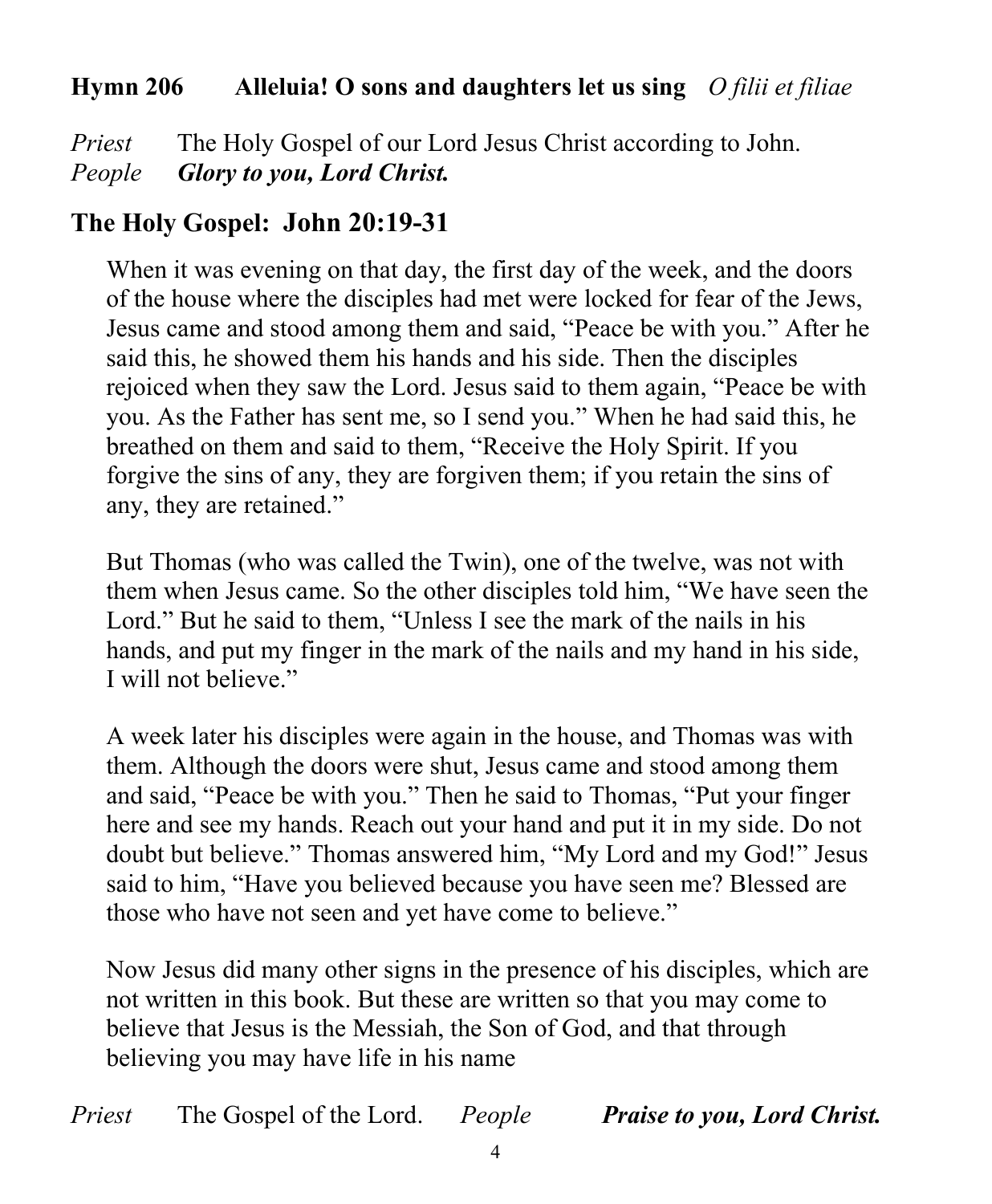#### **Hymn 206 Alleluia! O sons and daughters let us sing** *O filii et filiae*

*Priest* The Holy Gospel of our Lord Jesus Christ according to John. *People Glory to you, Lord Christ.*

## **The Holy Gospel: John 20:19-31**

When it was evening on that day, the first day of the week, and the doors of the house where the disciples had met were locked for fear of the Jews, Jesus came and stood among them and said, "Peace be with you." After he said this, he showed them his hands and his side. Then the disciples rejoiced when they saw the Lord. Jesus said to them again, "Peace be with you. As the Father has sent me, so I send you." When he had said this, he breathed on them and said to them, "Receive the Holy Spirit. If you forgive the sins of any, they are forgiven them; if you retain the sins of any, they are retained."

But Thomas (who was called the Twin), one of the twelve, was not with them when Jesus came. So the other disciples told him, "We have seen the Lord." But he said to them, "Unless I see the mark of the nails in his hands, and put my finger in the mark of the nails and my hand in his side, I will not believe."

A week later his disciples were again in the house, and Thomas was with them. Although the doors were shut, Jesus came and stood among them and said, "Peace be with you." Then he said to Thomas, "Put your finger here and see my hands. Reach out your hand and put it in my side. Do not doubt but believe." Thomas answered him, "My Lord and my God!" Jesus said to him, "Have you believed because you have seen me? Blessed are those who have not seen and yet have come to believe."

Now Jesus did many other signs in the presence of his disciples, which are not written in this book. But these are written so that you may come to believe that Jesus is the Messiah, the Son of God, and that through believing you may have life in his name

*Priest* The Gospel of the Lord. *People Praise to you, Lord Christ.*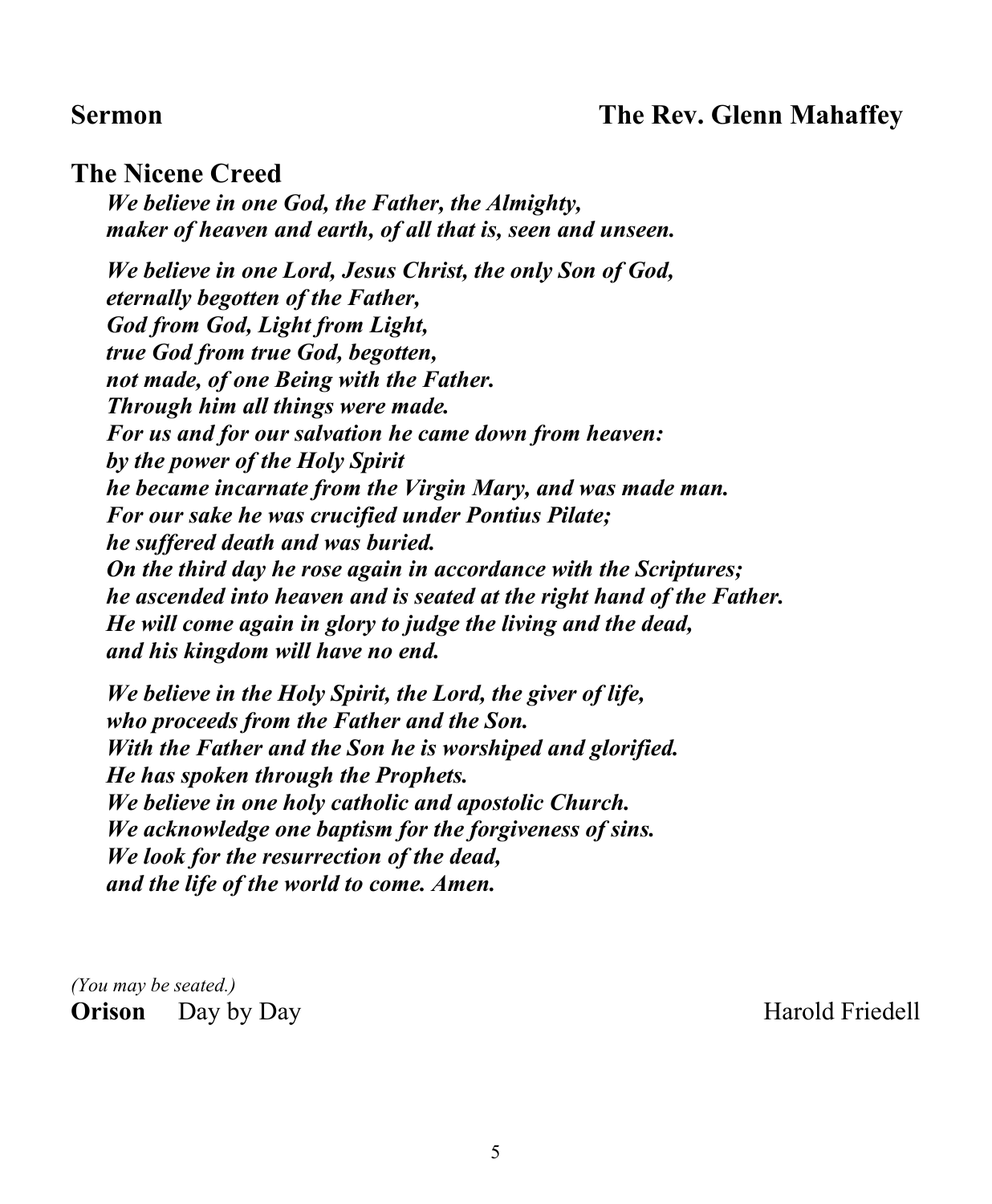#### **Sermon The Rev. Glenn Mahaffey**

#### **The Nicene Creed**

*We believe in one God, the Father, the Almighty, maker of heaven and earth, of all that is, seen and unseen.*

*We believe in one Lord, Jesus Christ, the only Son of God, eternally begotten of the Father, God from God, Light from Light, true God from true God, begotten, not made, of one Being with the Father. Through him all things were made. For us and for our salvation he came down from heaven: by the power of the Holy Spirit he became incarnate from the Virgin Mary, and was made man. For our sake he was crucified under Pontius Pilate; he suffered death and was buried. On the third day he rose again in accordance with the Scriptures; he ascended into heaven and is seated at the right hand of the Father. He will come again in glory to judge the living and the dead, and his kingdom will have no end.*

*We believe in the Holy Spirit, the Lord, the giver of life, who proceeds from the Father and the Son. With the Father and the Son he is worshiped and glorified. He has spoken through the Prophets. We believe in one holy catholic and apostolic Church. We acknowledge one baptism for the forgiveness of sins. We look for the resurrection of the dead, and the life of the world to come. Amen.*

*(You may be seated.)* **Orison** Day by Day **Harold Friedell**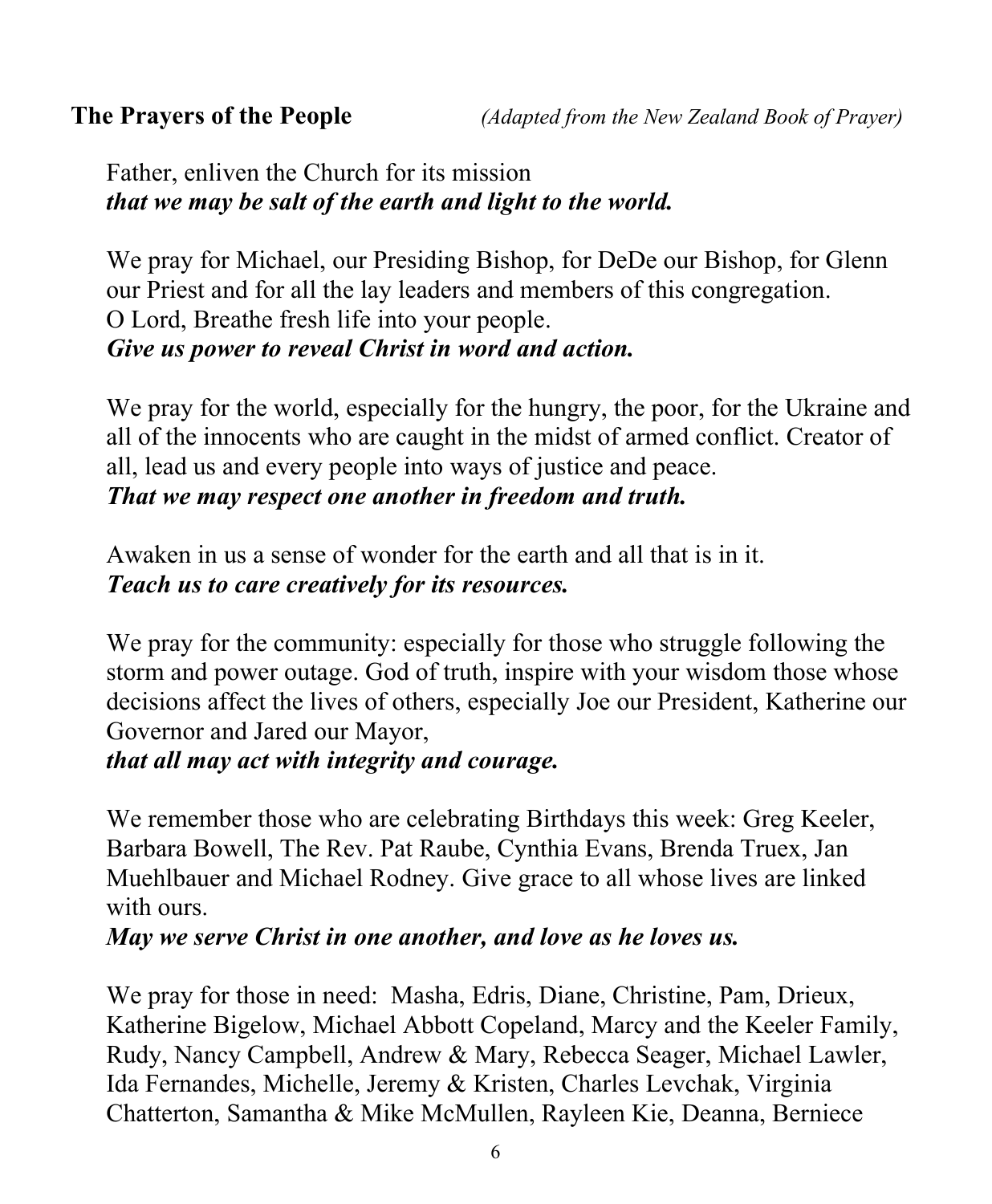Father, enliven the Church for its mission *that we may be salt of the earth and light to the world.*

We pray for Michael, our Presiding Bishop, for DeDe our Bishop, for Glenn our Priest and for all the lay leaders and members of this congregation. O Lord, Breathe fresh life into your people. *Give us power to reveal Christ in word and action.*

We pray for the world, especially for the hungry, the poor, for the Ukraine and all of the innocents who are caught in the midst of armed conflict. Creator of all, lead us and every people into ways of justice and peace. *That we may respect one another in freedom and truth.*

Awaken in us a sense of wonder for the earth and all that is in it. *Teach us to care creatively for its resources.*

We pray for the community: especially for those who struggle following the storm and power outage. God of truth, inspire with your wisdom those whose decisions affect the lives of others, especially Joe our President, Katherine our Governor and Jared our Mayor,

#### *that all may act with integrity and courage.*

We remember those who are celebrating Birthdays this week: Greg Keeler, Barbara Bowell, The Rev. Pat Raube, Cynthia Evans, Brenda Truex, Jan Muehlbauer and Michael Rodney. Give grace to all whose lives are linked with ours.

*May we serve Christ in one another, and love as he loves us.*

We pray for those in need: Masha, Edris, Diane, Christine, Pam, Drieux, Katherine Bigelow, Michael Abbott Copeland, Marcy and the Keeler Family, Rudy, Nancy Campbell, Andrew & Mary, Rebecca Seager, Michael Lawler, Ida Fernandes, Michelle, Jeremy & Kristen, Charles Levchak, Virginia Chatterton, Samantha & Mike McMullen, Rayleen Kie, Deanna, Berniece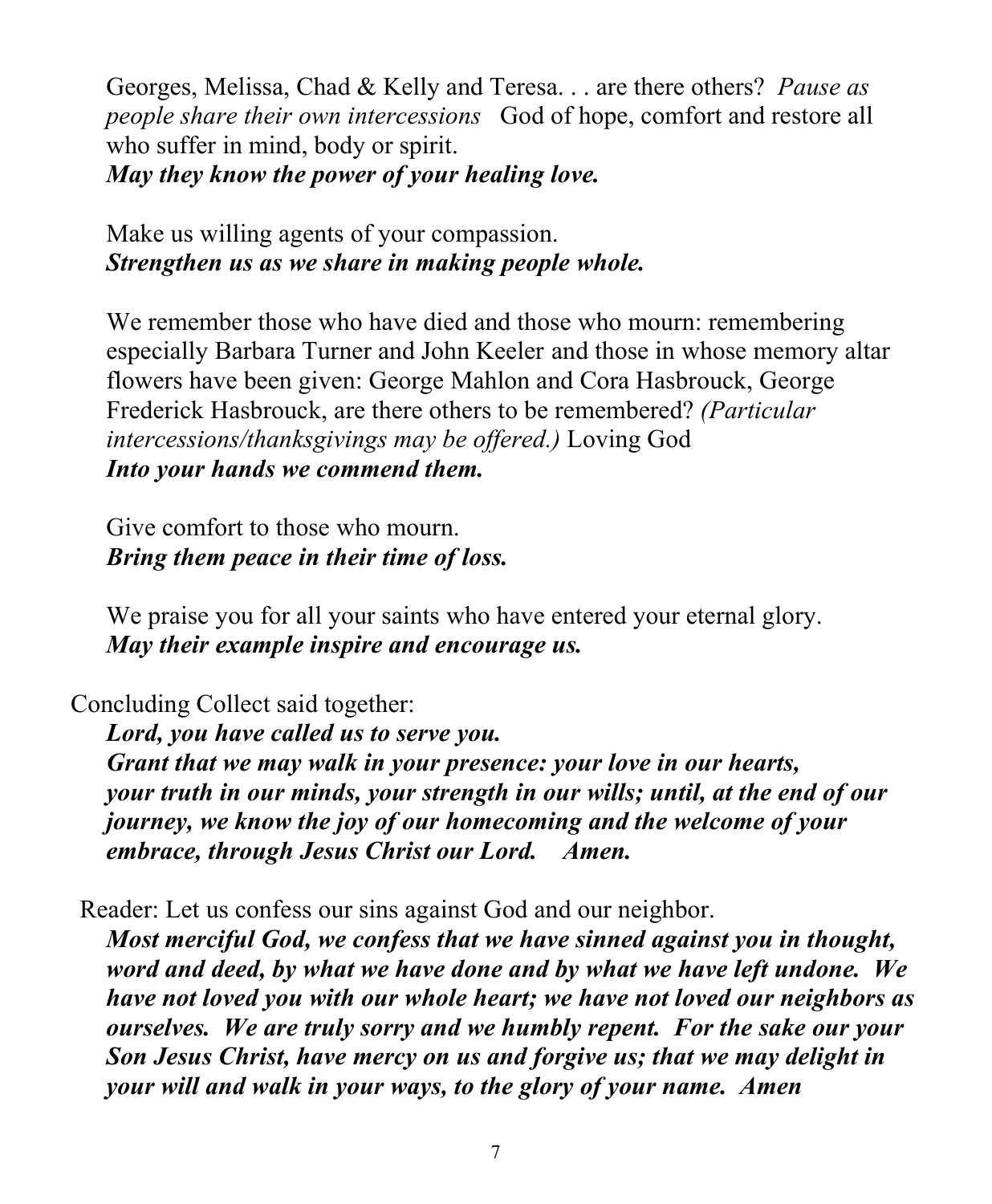Georges, Melissa, Chad & Kelly and Teresa. . . are there others? *Pause as people share their own intercessions* God of hope, comfort and restore all who suffer in mind, body or spirit. *May they know the power of your healing love.*

Make us willing agents of your compassion. *Strengthen us as we share in making people whole.*

We remember those who have died and those who mourn: remembering especially Barbara Turner and John Keeler and those in whose memory altar flowers have been given: George Mahlon and Cora Hasbrouck, George Frederick Hasbrouck, are there others to be remembered? *(Particular intercessions/thanksgivings may be offered.)* Loving God *Into your hands we commend them.*

Give comfort to those who mourn. *Bring them peace in their time of loss.*

We praise you for all your saints who have entered your eternal glory. *May their example inspire and encourage us.*

Concluding Collect said together:

*Lord, you have called us to serve you. Grant that we may walk in your presence: your love in our hearts, your truth in our minds, your strength in our wills; until, at the end of our journey, we know the joy of our homecoming and the welcome of your embrace, through Jesus Christ our Lord. Amen.*

Reader: Let us confess our sins against God and our neighbor. *Most merciful God, we confess that we have sinned against you in thought, word and deed, by what we have done and by what we have left undone. We have not loved you with our whole heart; we have not loved our neighbors as ourselves. We are truly sorry and we humbly repent. For the sake our your Son Jesus Christ, have mercy on us and forgive us; that we may delight in your will and walk in your ways, to the glory of your name. Amen*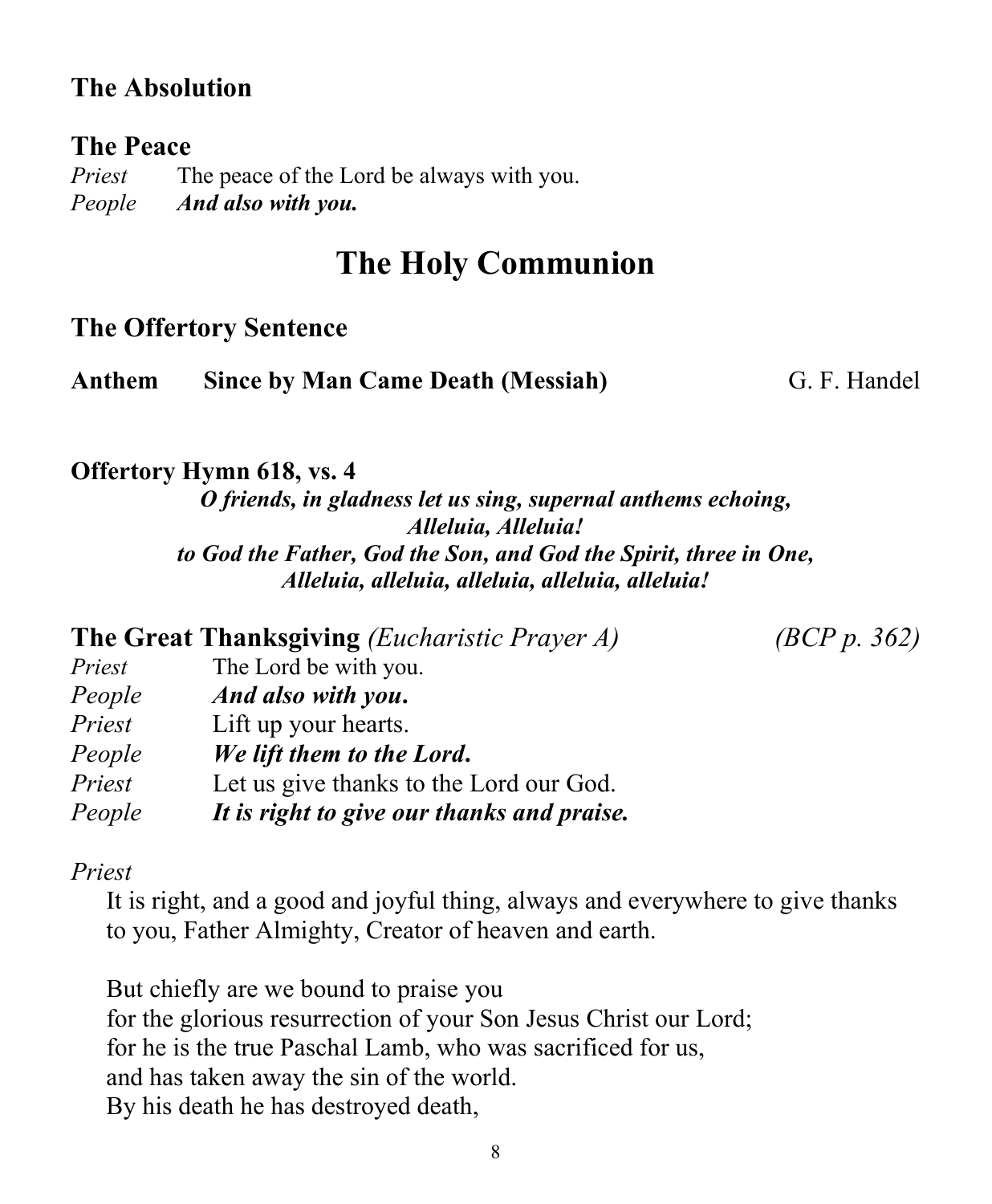### **The Absolution**

#### **The Peace**

*Priest* The peace of the Lord be always with you. *People And also with you.*

# **The Holy Communion**

#### **The Offertory Sentence**

| Anthem |  | <b>Since by Man Came Death (Messiah)</b> |  |  |
|--------|--|------------------------------------------|--|--|
|--------|--|------------------------------------------|--|--|

#### **Anthem Since by Man Came Death (Messiah)** G. F. Handel

#### **Offertory Hymn 618, vs. 4**

*O friends, in gladness let us sing, supernal anthems echoing, Alleluia, Alleluia! to God the Father, God the Son, and God the Spirit, three in One, Alleluia, alleluia, alleluia, alleluia, alleluia!*

|        | <b>The Great Thanksgiving</b> ( <i>Eucharistic Prayer A</i> ) |
|--------|---------------------------------------------------------------|
| Priest | The Lord be with you.                                         |
| People | And also with you.                                            |
| Priest | Lift up your hearts.                                          |
| People | We lift them to the Lord.                                     |
| Priest | Let us give thanks to the Lord our God.                       |
| People | It is right to give our thanks and praise.                    |

### **The Great Thanksgiving** *(Eucharistic Prayer A) (BCP p. 362)*

#### *Priest*

It is right, and a good and joyful thing, always and everywhere to give thanks to you, Father Almighty, Creator of heaven and earth.

But chiefly are we bound to praise you for the glorious resurrection of your Son Jesus Christ our Lord; for he is the true Paschal Lamb, who was sacrificed for us, and has taken away the sin of the world. By his death he has destroyed death,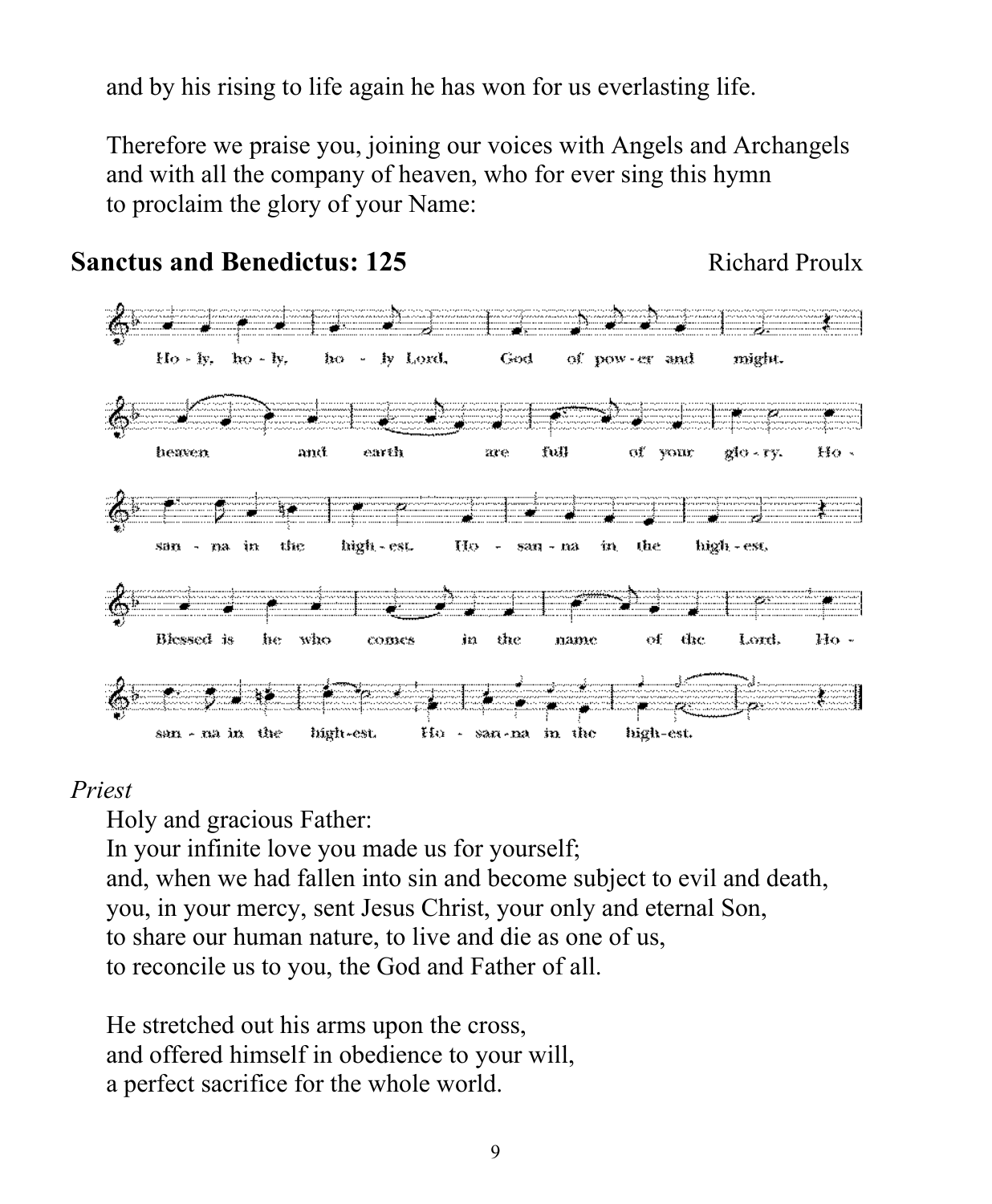and by his rising to life again he has won for us everlasting life.

Therefore we praise you, joining our voices with Angels and Archangels and with all the company of heaven, who for ever sing this hymn to proclaim the glory of your Name:



#### **Sanctus and Benedictus: 125** Richard Proulx

#### *Priest*

Holy and gracious Father: In your infinite love you made us for yourself; and, when we had fallen into sin and become subject to evil and death, you, in your mercy, sent Jesus Christ, your only and eternal Son, to share our human nature, to live and die as one of us, to reconcile us to you, the God and Father of all.

He stretched out his arms upon the cross, and offered himself in obedience to your will, a perfect sacrifice for the whole world.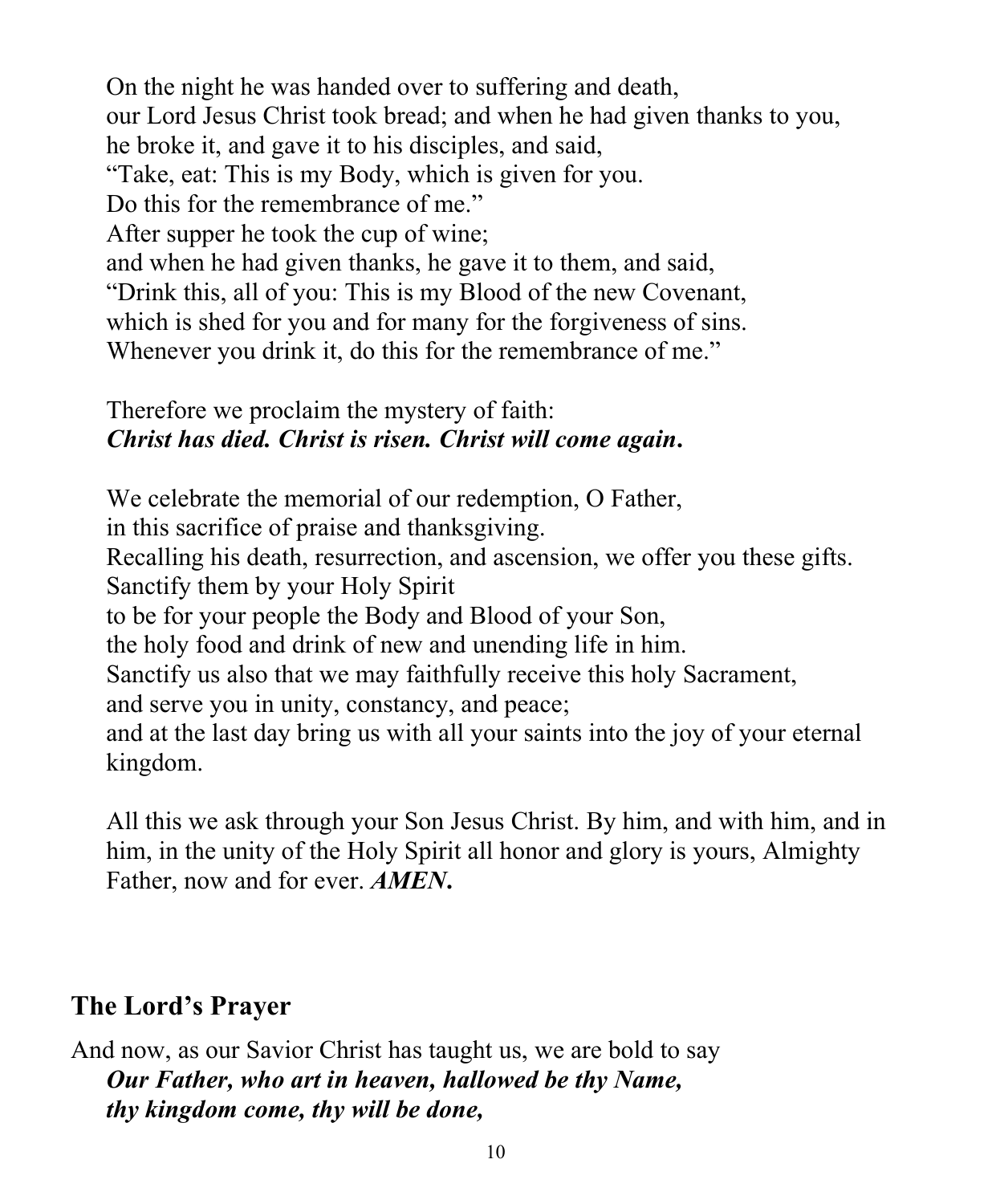On the night he was handed over to suffering and death, our Lord Jesus Christ took bread; and when he had given thanks to you, he broke it, and gave it to his disciples, and said, "Take, eat: This is my Body, which is given for you. Do this for the remembrance of me." After supper he took the cup of wine; and when he had given thanks, he gave it to them, and said, "Drink this, all of you: This is my Blood of the new Covenant, which is shed for you and for many for the forgiveness of sins. Whenever you drink it, do this for the remembrance of me."

### Therefore we proclaim the mystery of faith: *Christ has died. Christ is risen. Christ will come again***.**

We celebrate the memorial of our redemption, O Father, in this sacrifice of praise and thanksgiving. Recalling his death, resurrection, and ascension, we offer you these gifts. Sanctify them by your Holy Spirit to be for your people the Body and Blood of your Son, the holy food and drink of new and unending life in him. Sanctify us also that we may faithfully receive this holy Sacrament, and serve you in unity, constancy, and peace; and at the last day bring us with all your saints into the joy of your eternal kingdom.

All this we ask through your Son Jesus Christ. By him, and with him, and in him, in the unity of the Holy Spirit all honor and glory is yours, Almighty Father, now and for ever. *AMEN***.**

# **The Lord's Prayer**

#### And now, as our Savior Christ has taught us, we are bold to say *Our Father, who art in heaven, hallowed be thy Name, thy kingdom come, thy will be done,*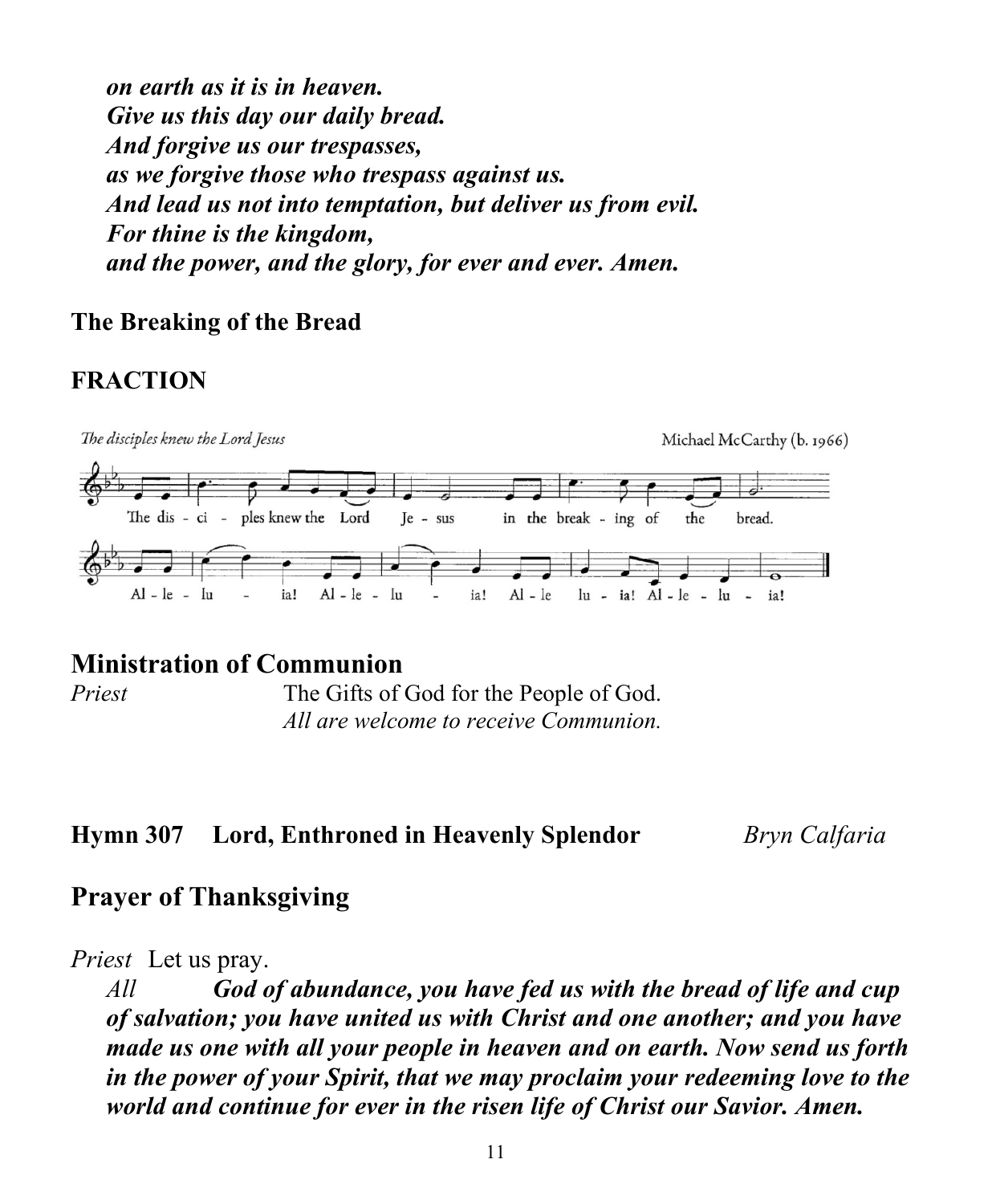*on earth as it is in heaven. Give us this day our daily bread. And forgive us our trespasses, as we forgive those who trespass against us. And lead us not into temptation, but deliver us from evil. For thine is the kingdom, and the power, and the glory, for ever and ever. Amen.*

#### **The Breaking of the Bread**

### **FRACTION**



#### **Ministration of Communion**

*Priest* The Gifts of God for the People of God. *All are welcome to receive Communion.*

#### **Hymn 307 Lord, Enthroned in Heavenly Splendor** *Bryn Calfaria*

### **Prayer of Thanksgiving**

*Priest* Let us pray.

*All God of abundance, you have fed us with the bread of life and cup of salvation; you have united us with Christ and one another; and you have made us one with all your people in heaven and on earth. Now send us forth in the power of your Spirit, that we may proclaim your redeeming love to the world and continue for ever in the risen life of Christ our Savior. Amen.*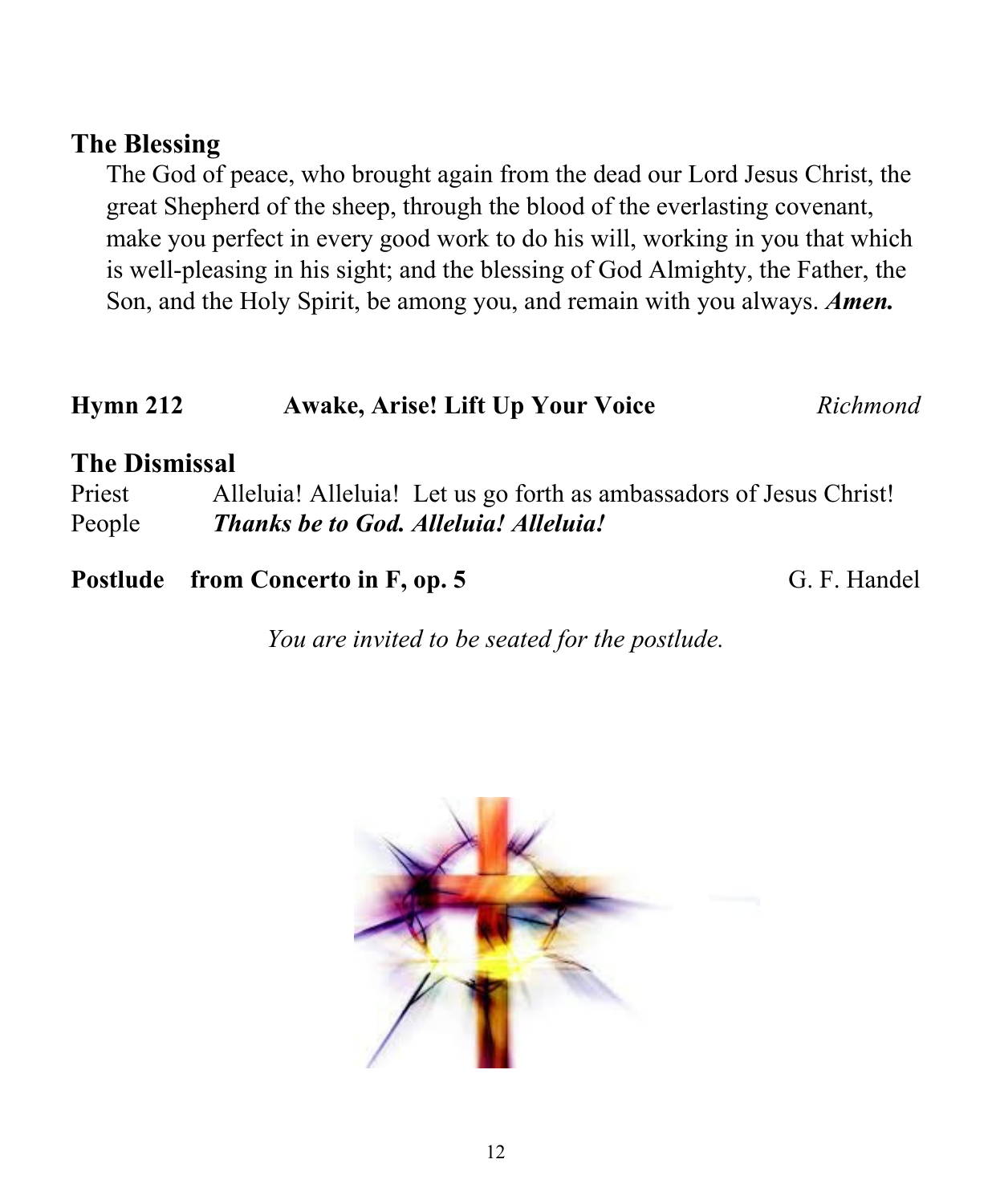#### **The Blessing**

The God of peace, who brought again from the dead our Lord Jesus Christ, the great Shepherd of the sheep, through the blood of the everlasting covenant, make you perfect in every good work to do his will, working in you that which is well-pleasing in his sight; and the blessing of God Almighty, the Father, the Son, and the Holy Spirit, be among you, and remain with you always. *Amen.*

# **Hymn 212 Awake, Arise! Lift Up Your Voice** *Richmond*

### **The Dismissal**

Priest Alleluia! Alleluia! Let us go forth as ambassadors of Jesus Christ! People *Thanks be to God. Alleluia! Alleluia!*

#### **Postlude from Concerto in F, op. 5** G. F. Handel

*You are invited to be seated for the postlude.*

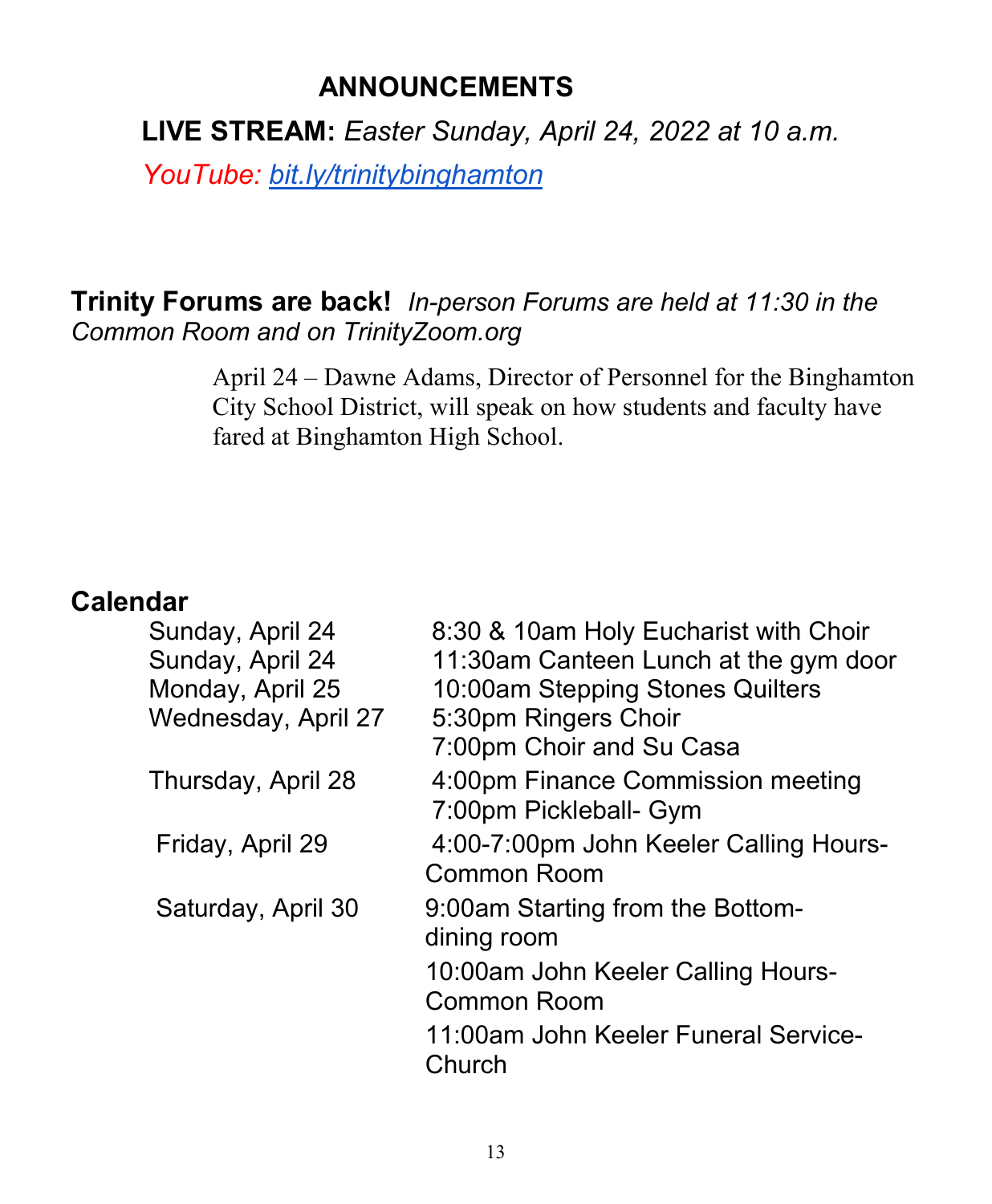# **ANNOUNCEMENTS**

**LIVE STREAM:** *Easter Sunday, April 24, 2022 at 10 a.m.* 

*YouTube: [bit.ly/trinitybinghamton](https://www.youtube.com/c/TrinityMemorialEpiscopalChurch)*

## **Trinity Forums are back!** *In-person Forums are held at 11:30 in the Common Room and on TrinityZoom.org*

April 24 – Dawne Adams, Director of Personnel for the Binghamton City School District, will speak on how students and faculty have fared at Binghamton High School.

### **Calendar**

| 8:30 & 10am Holy Eucharist with Choir<br>11:30am Canteen Lunch at the gym door<br>10:00am Stepping Stones Quilters<br>5:30pm Ringers Choir<br>7:00pm Choir and Su Casa |
|------------------------------------------------------------------------------------------------------------------------------------------------------------------------|
| 4:00pm Finance Commission meeting<br>7:00pm Pickleball- Gym                                                                                                            |
| 4:00-7:00pm John Keeler Calling Hours-<br><b>Common Room</b>                                                                                                           |
| 9:00am Starting from the Bottom-<br>dining room                                                                                                                        |
| 10:00am John Keeler Calling Hours-<br><b>Common Room</b>                                                                                                               |
| 11:00am John Keeler Funeral Service-<br>Church                                                                                                                         |
|                                                                                                                                                                        |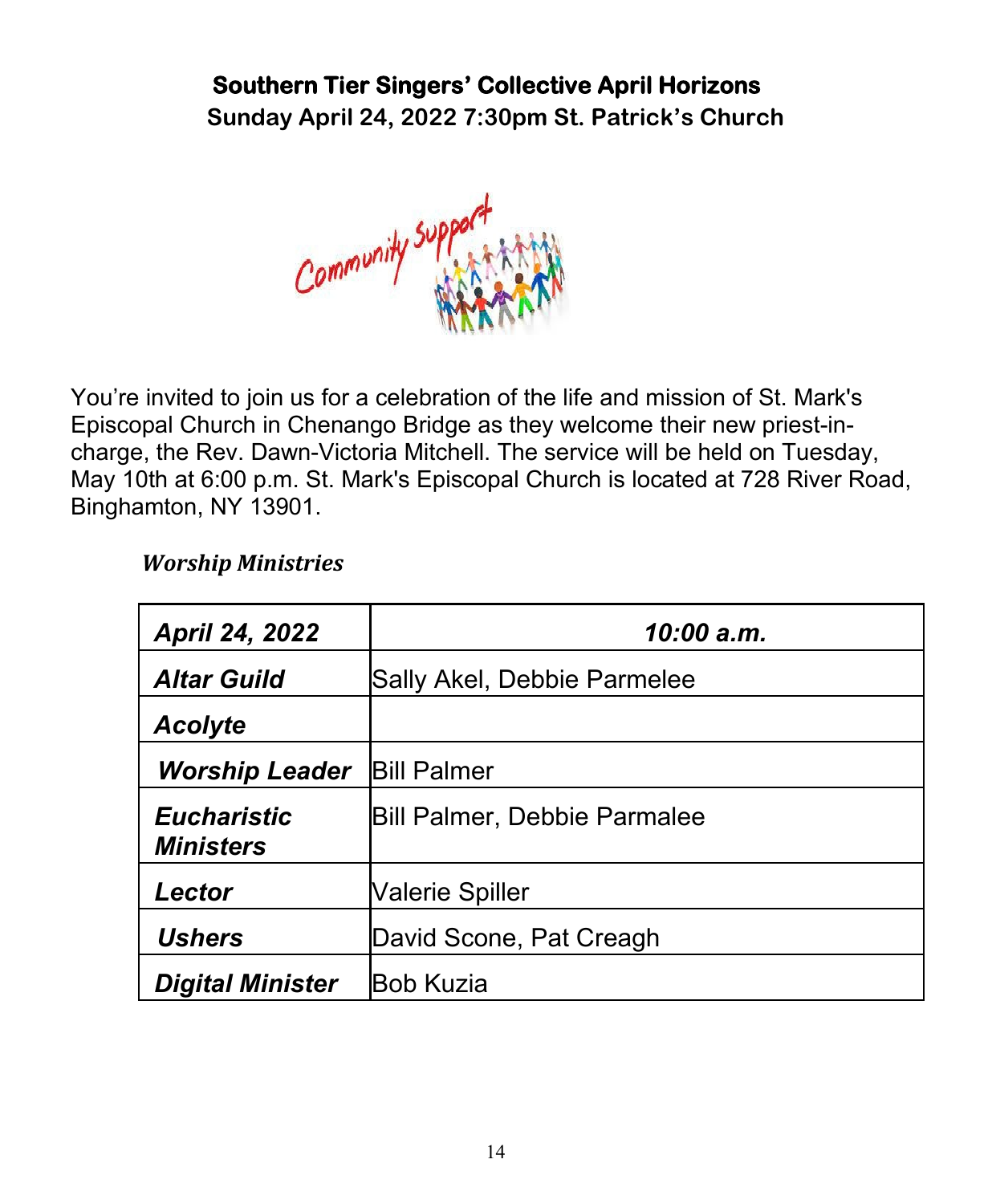# **Southern Tier Singers' Collective April Horizons**

**Sunday April 24, 2022 7:30pm St. Patrick's Church**



You're invited to join us for a celebration of the life and mission of St. Mark's Episcopal Church in Chenango Bridge as they welcome their new priest-incharge, the Rev. Dawn-Victoria Mitchell. The service will be held on Tuesday, May 10th at 6:00 p.m. St. Mark's Episcopal Church is located at 728 River Road, Binghamton, NY 13901.

#### *Worship Ministries*

| <b>April 24, 2022</b>                  | 10:00 a.m.                   |  |  |
|----------------------------------------|------------------------------|--|--|
| <b>Altar Guild</b>                     | Sally Akel, Debbie Parmelee  |  |  |
| <b>Acolyte</b>                         |                              |  |  |
| <b>Worship Leader</b>                  | <b>Bill Palmer</b>           |  |  |
| <b>Eucharistic</b><br><b>Ministers</b> | Bill Palmer, Debbie Parmalee |  |  |
| Lector                                 | Valerie Spiller              |  |  |
| <b>Ushers</b>                          | David Scone, Pat Creagh      |  |  |
| <b>Digital Minister</b>                | <b>Bob Kuzia</b>             |  |  |